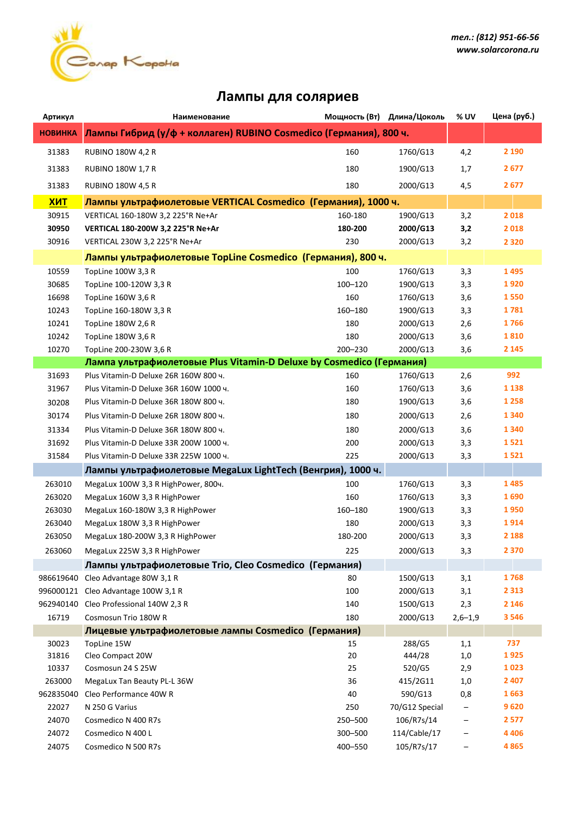

## **Лампы для соляриев**

| Артикул        | Наименование                                                         |         | Мощность (Вт) Длина/Цоколь | % UV        | Цена (руб.) |  |  |
|----------------|----------------------------------------------------------------------|---------|----------------------------|-------------|-------------|--|--|
| <b>НОВИНКА</b> | Лампы Гибрид (у/ф + коллаген) RUBINO Cosmedico (Германия), 800 ч.    |         |                            |             |             |  |  |
| 31383          | <b>RUBINO 180W 4,2 R</b>                                             | 160     | 1760/G13                   | 4,2         | 2 1 9 0     |  |  |
| 31383          | <b>RUBINO 180W 1,7 R</b>                                             | 180     | 1900/G13                   | 1,7         | 2677        |  |  |
| 31383          | <b>RUBINO 180W 4,5 R</b>                                             | 180     | 2000/G13                   | 4,5         | 2677        |  |  |
| <b>XMT</b>     | Лампы ультрафиолетовые VERTICAL Cosmedico (Германия), 1000 ч.        |         |                            |             |             |  |  |
| 30915          | VERTICAL 160-180W 3,2 225°R Ne+Ar                                    | 160-180 | 1900/G13                   | 3,2         | 2018        |  |  |
| 30950          | VERTICAL 180-200W 3,2 225°R Ne+Ar                                    | 180-200 | 2000/G13                   | 3,2         | 2018        |  |  |
| 30916          | VERTICAL 230W 3,2 225°R Ne+Ar                                        | 230     | 2000/G13                   | 3,2         | 2 3 2 0     |  |  |
|                | Лампы ультрафиолетовые TopLine Cosmedico (Германия), 800 ч.          |         |                            |             |             |  |  |
| 10559          | TopLine 100W 3,3 R                                                   | 100     | 1760/G13                   | 3,3         | 1495        |  |  |
| 30685          | TopLine 100-120W 3,3 R                                               | 100-120 | 1900/G13                   | 3,3         | 1920        |  |  |
| 16698          | TopLine 160W 3,6 R                                                   | 160     | 1760/G13                   | 3,6         | 1550        |  |  |
| 10243          | TopLine 160-180W 3,3 R                                               | 160-180 | 1900/G13                   | 3,3         | 1781        |  |  |
| 10241          | TopLine 180W 2,6 R                                                   | 180     | 2000/G13                   | 2,6         | 1766        |  |  |
| 10242          | TopLine 180W 3,6 R                                                   | 180     | 2000/G13                   | 3,6         | 1810        |  |  |
| 10270          | TopLine 200-230W 3,6 R                                               | 200-230 | 2000/G13                   | 3,6         | 2 1 4 5     |  |  |
|                | Лампа ультрафиолетовые Plus Vitamin-D Deluxe by Cosmedico (Германия) |         |                            |             |             |  |  |
| 31693          | Plus Vitamin-D Deluxe 26R 160W 800 ч.                                | 160     | 1760/G13                   | 2,6         | 992         |  |  |
| 31967          | Plus Vitamin-D Deluxe 36R 160W 1000 ч.                               | 160     | 1760/G13                   | 3,6         | 1 1 3 8     |  |  |
| 30208          | Plus Vitamin-D Deluxe 36R 180W 800 ч.                                | 180     | 1900/G13                   | 3,6         | 1 2 5 8     |  |  |
| 30174          | Plus Vitamin-D Deluxe 26R 180W 800 ч.                                | 180     | 2000/G13                   | 2,6         | 1 3 4 0     |  |  |
| 31334          | Plus Vitamin-D Deluxe 36R 180W 800 ч.                                | 180     | 2000/G13                   | 3,6         | 1 3 4 0     |  |  |
| 31692          | Plus Vitamin-D Deluxe 33R 200W 1000 ч.                               | 200     | 2000/G13                   | 3,3         | 1521        |  |  |
| 31584          | Plus Vitamin-D Deluxe 33R 225W 1000 ч.                               | 225     | 2000/G13                   | 3,3         | 1521        |  |  |
|                | Лампы ультрафиолетовые MegaLux LightTech (Венгрия), 1000 ч.          |         |                            |             |             |  |  |
| 263010         | MegaLux 100W 3,3 R HighPower, 800ч.                                  | 100     | 1760/G13                   | 3,3         | 1485        |  |  |
| 263020         | MegaLux 160W 3,3 R HighPower                                         | 160     | 1760/G13                   | 3,3         | 1690        |  |  |
| 263030         | MegaLux 160-180W 3,3 R HighPower                                     | 160-180 | 1900/G13                   | 3,3         | 1950        |  |  |
| 263040         | MegaLux 180W 3,3 R HighPower                                         | 180     | 2000/G13                   | 3,3         | 1914        |  |  |
| 263050         | MegaLux 180-200W 3,3 R HighPower                                     | 180-200 | 2000/G13                   | 3,3         | 2 1 8 8     |  |  |
| 263060         | MegaLux 225W 3,3 R HighPower                                         | 225     | 2000/G13                   | 3,3         | 2 3 7 0     |  |  |
|                | Лампы ультрафиолетовые Trio, Cleo Cosmedico (Германия)               |         |                            |             |             |  |  |
| 986619640      | Cleo Advantage 80W 3,1 R                                             | 80      | 1500/G13                   | 3,1         | 1768        |  |  |
|                | 996000121 Cleo Advantage 100W 3,1 R                                  | 100     | 2000/G13                   | 3,1         | 2 3 1 3     |  |  |
| 962940140      | Cleo Professional 140W 2,3 R                                         | 140     | 1500/G13                   | 2,3         | 2 1 4 6     |  |  |
| 16719          | Cosmosun Trio 180W R                                                 | 180     | 2000/G13                   | $2,6 - 1,9$ | 3 5 4 6     |  |  |
|                | Лицевые ультрафиолетовые лампы Cosmedico (Германия)                  |         |                            |             |             |  |  |
| 30023          | TopLine 15W                                                          | 15      | 288/G5                     | 1,1         | 737         |  |  |
| 31816          | Cleo Compact 20W                                                     | 20      | 444/28                     | 1,0         | 1925        |  |  |
| 10337          | Cosmosun 24 S 25W                                                    | 25      | 520/G5                     | 2,9         | 1023        |  |  |
| 263000         | MegaLux Tan Beauty PL-L 36W                                          | 36      | 415/2G11                   | 1,0         | 2 4 0 7     |  |  |
| 962835040      | Cleo Performance 40W R                                               | 40      | 590/G13                    | 0,8         | 1663        |  |  |
| 22027          | N 250 G Varius                                                       | 250     | 70/G12 Special             |             | 9620        |  |  |
| 24070          | Cosmedico N 400 R7s                                                  | 250-500 | 106/R7s/14                 |             | 2577        |  |  |
| 24072          | Cosmedico N 400 L                                                    | 300-500 | 114/Cable/17               |             | 4 4 0 6     |  |  |
| 24075          | Cosmedico N 500 R7s                                                  | 400-550 | 105/R7s/17                 | -           | 4865        |  |  |